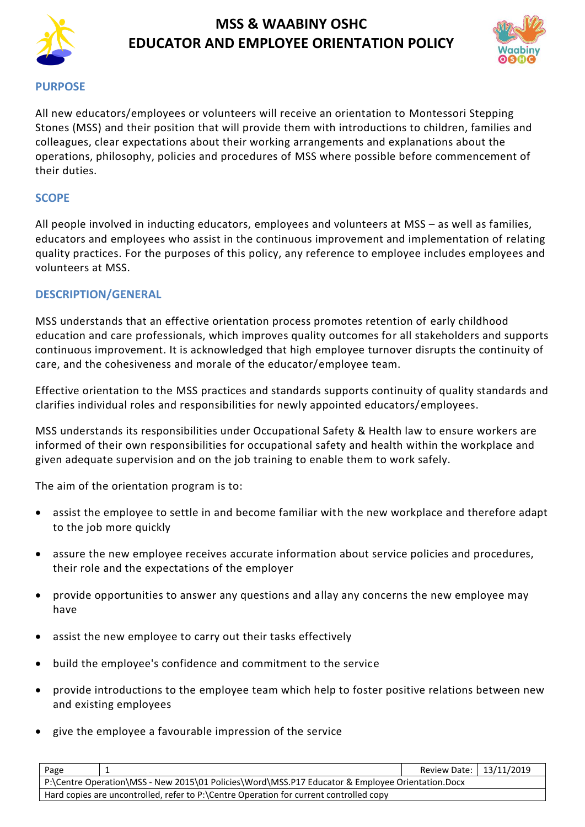



#### **PURPOSE**

All new educators/employees or volunteers will receive an orientation to Montessori Stepping Stones (MSS) and their position that will provide them with introductions to children, families and colleagues, clear expectations about their working arrangements and explanations about the operations, philosophy, policies and procedures of MSS where possible before commencement of their duties.

### **SCOPE**

All people involved in inducting educators, employees and volunteers at MSS – as well as families, educators and employees who assist in the continuous improvement and implementation of relating quality practices. For the purposes of this policy, any reference to employee includes employees and volunteers at MSS.

## **DESCRIPTION/GENERAL**

MSS understands that an effective orientation process promotes retention of early childhood education and care professionals, which improves quality outcomes for all stakeholders and supports continuous improvement. It is acknowledged that high employee turnover disrupts the continuity of care, and the cohesiveness and morale of the educator/employee team.

Effective orientation to the MSS practices and standards supports continuity of quality standards and clarifies individual roles and responsibilities for newly appointed educators/employees.

MSS understands its responsibilities under Occupational Safety & Health law to ensure workers are informed of their own responsibilities for occupational safety and health within the workplace and given adequate supervision and on the job training to enable them to work safely.

The aim of the orientation program is to:

- assist the employee to settle in and become familiar with the new workplace and therefore adapt to the job more quickly
- assure the new employee receives accurate information about service policies and procedures, their role and the expectations of the employer
- provide opportunities to answer any questions and allay any concerns the new employee may have
- assist the new employee to carry out their tasks effectively
- build the employee's confidence and commitment to the service
- provide introductions to the employee team which help to foster positive relations between new and existing employees
- give the employee a favourable impression of the service

| Page                                                                                             |  | Review Date:   13/11/2019 |  |
|--------------------------------------------------------------------------------------------------|--|---------------------------|--|
| P:\Centre Operation\MSS - New 2015\01 Policies\Word\MSS.P17 Educator & Employee Orientation.Docx |  |                           |  |
| Hard copies are uncontrolled, refer to P:\Centre Operation for current controlled copy           |  |                           |  |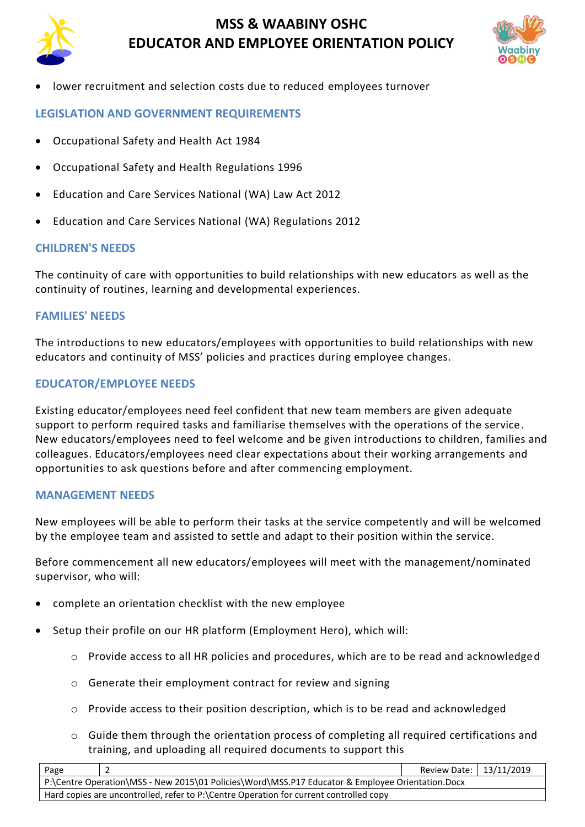

• lower recruitment and selection costs due to reduced employees turnover

## **LEGISLATION AND GOVERNMENT REQUIREMENTS**

- [Occupational Safety and Health](http://www.slp.wa.gov.au/legislation/agency.nsf/docep_main_mrtitle_4245_homepage.html) Act 1984
- [Occupational Safety and Health Regulations 1996](http://www.slp.wa.gov.au/legislation/agency.nsf/docep_main_mrtitle_12516_homepage.html)
- Education and Care Services National (WA) Law Act 2012
- Education and Care Services National (WA) Regulations 2012

## **CHILDREN'S NEEDS**

The continuity of care with opportunities to build relationships with new educators as well as the continuity of routines, learning and developmental experiences.

## **FAMILIES' NEEDS**

The introductions to new educators/employees with opportunities to build relationships with new educators and continuity of MSS' policies and practices during employee changes.

### **EDUCATOR/EMPLOYEE NEEDS**

Existing educator/employees need feel confident that new team members are given adequate support to perform required tasks and familiarise themselves with the operations of the service. New educators/employees need to feel welcome and be given introductions to children, families and colleagues. Educators/employees need clear expectations about their working arrangements and opportunities to ask questions before and after commencing employment.

#### **MANAGEMENT NEEDS**

New employees will be able to perform their tasks at the service competently and will be welcomed by the employee team and assisted to settle and adapt to their position within the service.

Before commencement all new educators/employees will meet with the management/nominated supervisor, who will:

- complete an orientation checklist with the new employee
- Setup their profile on our HR platform (Employment Hero), which will:
	- o Provide access to all HR policies and procedures, which are to be read and acknowledged
	- o Generate their employment contract for review and signing
	- o Provide access to their position description, which is to be read and acknowledged
	- o Guide them through the orientation process of completing all required certifications and training, and uploading all required documents to support this

| Page                                                                                             |  |  | Review Date:   13/11/2019 |  |
|--------------------------------------------------------------------------------------------------|--|--|---------------------------|--|
| P:\Centre Operation\MSS - New 2015\01 Policies\Word\MSS.P17 Educator & Employee Orientation.Docx |  |  |                           |  |
| Hard copies are uncontrolled, refer to P:\Centre Operation for current controlled copy           |  |  |                           |  |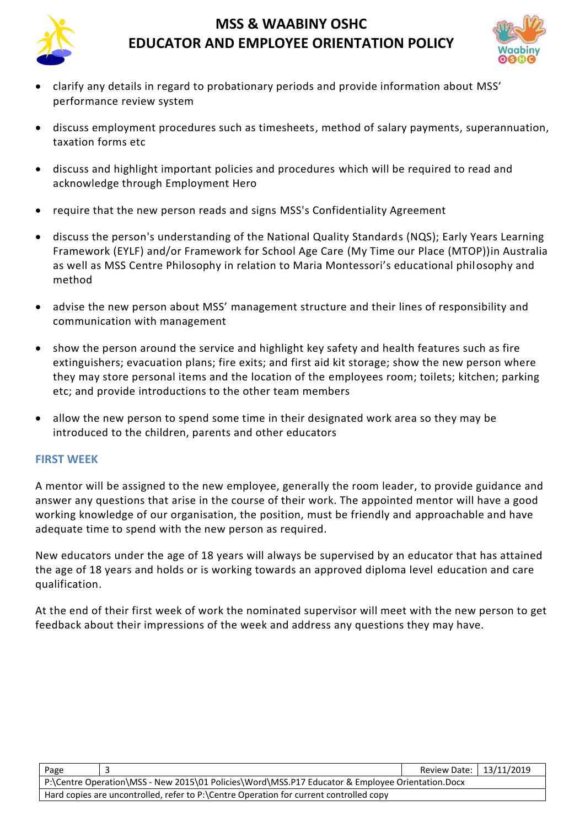



- clarify any details in regard to probationary periods and provide information about MSS' performance review system
- discuss employment procedures such as timesheets, method of salary payments, superannuation, taxation forms etc
- discuss and highlight important policies and procedures which will be required to read and acknowledge through Employment Hero
- require that the new person reads and signs MSS's Confidentiality Agreement
- discuss the person's understanding of the National Quality Standards (NQS); Early Years Learning Framework (EYLF) and/or Framework for School Age Care (My Time our Place (MTOP))in Australia as well as MSS Centre Philosophy in relation to Maria Montessori's educational philosophy and method
- advise the new person about MSS' management structure and their lines of responsibility and communication with management
- show the person around the service and highlight key safety and health features such as fire extinguishers; evacuation plans; fire exits; and first aid kit storage; show the new person where they may store personal items and the location of the employees room; toilets; kitchen; parking etc; and provide introductions to the other team members
- allow the new person to spend some time in their designated work area so they may be introduced to the children, parents and other educators

## **FIRST WEEK**

A mentor will be assigned to the new employee, generally the room leader, to provide guidance and answer any questions that arise in the course of their work. The appointed mentor will have a good working knowledge of our organisation, the position, must be friendly and approachable and have adequate time to spend with the new person as required.

New educators under the age of 18 years will always be supervised by an educator that has attained the age of 18 years and holds or is working towards an approved diploma level education and care qualification.

At the end of their first week of work the nominated supervisor will meet with the new person to get feedback about their impressions of the week and address any questions they may have.

| Page                                                                                             |  | Review Date:   13/11/2019 |  |
|--------------------------------------------------------------------------------------------------|--|---------------------------|--|
| P:\Centre Operation\MSS - New 2015\01 Policies\Word\MSS.P17 Educator & Employee Orientation.Docx |  |                           |  |
| Hard copies are uncontrolled, refer to P:\Centre Operation for current controlled copy           |  |                           |  |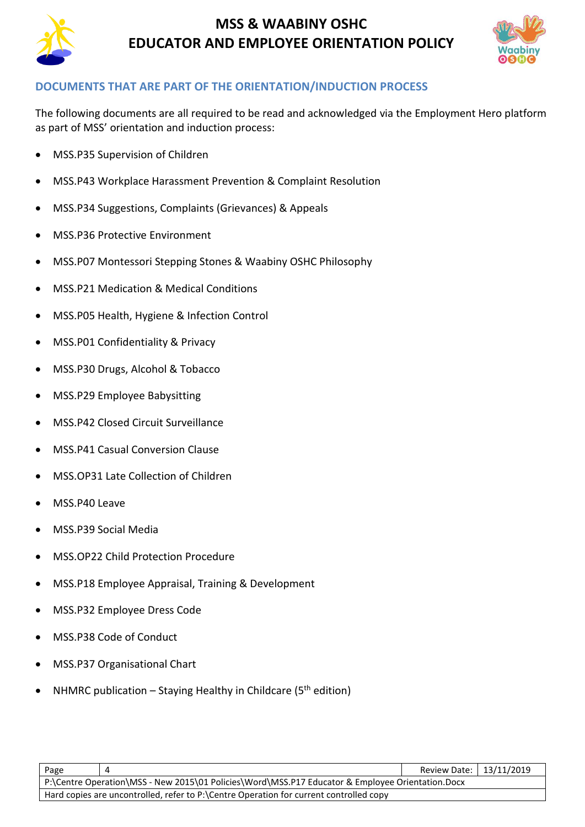



## **DOCUMENTS THAT ARE PART OF THE ORIENTATION/INDUCTION PROCESS**

The following documents are all required to be read and acknowledged via the Employment Hero platform as part of MSS' orientation and induction process:

- MSS.P35 Supervision of Children
- MSS.P43 Workplace Harassment Prevention & Complaint Resolution
- MSS.P34 Suggestions, Complaints (Grievances) & Appeals
- MSS.P36 Protective Environment
- MSS.P07 Montessori Stepping Stones & Waabiny OSHC Philosophy
- MSS.P21 Medication & Medical Conditions
- MSS.P05 Health, Hygiene & Infection Control
- MSS.P01 Confidentiality & Privacy
- MSS.P30 Drugs, Alcohol & Tobacco
- MSS.P29 Employee Babysitting
- MSS.P42 Closed Circuit Surveillance
- MSS.P41 Casual Conversion Clause
- MSS.OP31 Late Collection of Children
- MSS.P40 Leave
- MSS.P39 Social Media
- MSS.OP22 Child Protection Procedure
- MSS.P18 Employee Appraisal, Training & Development
- MSS.P32 Employee Dress Code
- MSS.P38 Code of Conduct
- MSS.P37 Organisational Chart
- NHMRC publication Staying Healthy in Childcare ( $5<sup>th</sup>$  edition)

| Page                                                                                             |  | Review Date: 13/11/2019 |  |
|--------------------------------------------------------------------------------------------------|--|-------------------------|--|
| P:\Centre Operation\MSS - New 2015\01 Policies\Word\MSS.P17 Educator & Employee Orientation.Docx |  |                         |  |
| Hard copies are uncontrolled, refer to P:\Centre Operation for current controlled copy           |  |                         |  |